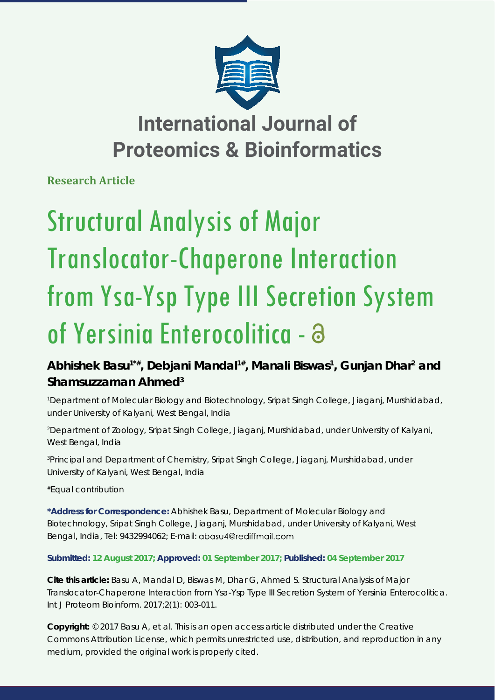

## **International Journal of Proteomics & Bioinformatics**

**Research Article**

# Structural Analysis of Major Translocator-Chaperone Interaction from Ysa-Ysp Type III Secretion System of Yersinia Enterocolitica - a

### Abhishek Basu<sup>1\*#</sup>, Debjani Mandal<sup>1#</sup>, Manali Biswas<sup>1</sup>, Gunjan Dhar<sup>2</sup> and **Shamsuzzaman Ahmed3**

*1 Department of Molecular Biology and Biotechnology, Sripat Singh College, Jiaganj, Murshidabad, under University of Kalyani, West Bengal, India*

*2 Department of Zoology, Sripat Singh College, Jiaganj, Murshidabad, under University of Kalyani, West Bengal, India*

*3 Principal and Department of Chemistry, Sripat Singh College, Jiaganj, Murshidabad, under University of Kalyani, West Bengal, India*

*#Equal contribution*

**\*Address for Correspondence:** Abhishek Basu, Department of Molecular Biology and Biotechnology, Sripat Singh College, Jiaganj, Murshidabad, under University of Kalyani, West Bengal, India, Tel: 9432994062; E-mail: abasu4@rediffmail.com

**Submitted: 12 August 2017; Approved: 01 September 2017; Published: 04 September 2017**

**Cite this article:** Basu A, Mandal D, Biswas M, Dhar G, Ahmed S. Structural Analysis of Major Translocator-Chaperone Interaction from Ysa-Ysp Type III Secretion System of Yersinia Enterocolitica. Int J Proteom Bioinform. 2017;2(1): 003-011.

**Copyright:** © 2017 Basu A, et al. This is an open access article distributed under the Creative Commons Attribution License, which permits unrestricted use, distribution, and reproduction in any medium, provided the original work is properly cited.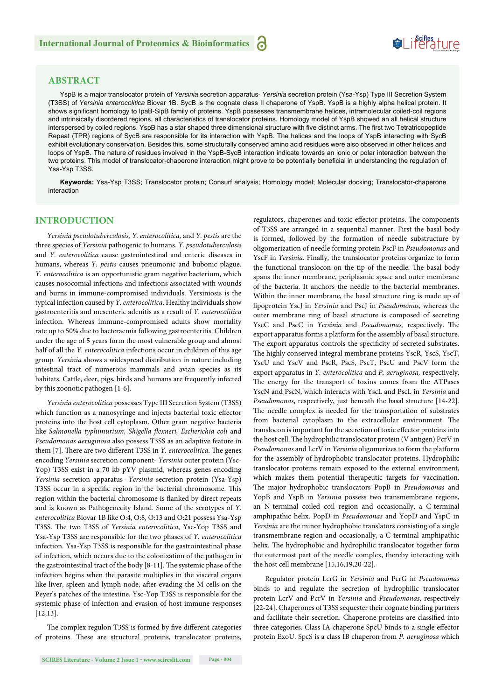## Suiferature

#### **ABSTRACT**

YspB is a major translocator protein of *Yersinia* secretion apparatus- *Yersinia* secretion protein (Ysa-Ysp) Type III Secretion System (T3SS) of *Yersinia enterocolitica* Biovar 1B. SycB is the cognate class II chaperone of YspB. YspB is a highly alpha helical protein. It shows significant homology to IpaB-SipB family of proteins. YspB possesses transmembrane helices, intramolecular coiled-coil regions and intrinsically disordered regions, all characteristics of translocator proteins. Homology model of YspB showed an all helical structure interspersed by coiled regions. YspB has a star shaped three dimensional structure with five distinct arms. The first two Tetratricopeptide Repeat (TPR) regions of SycB are responsible for its interaction with YspB. The helices and the loops of YspB interacting with SycB exhibit evolutionary conservation. Besides this, some structurally conserved amino acid residues were also observed in other helices and loops of YspB. The nature of residues involved in the YspB-SycB interaction indicate towards an ionic or polar interaction between the two proteins. This model of translocator-chaperone interaction might prove to be potentially beneficial in understanding the regulation of Ysa-Ysp T3SS.

**Keywords:** Ysa-Ysp T3SS; Translocator protein; Consurf analysis; Homology model; Molecular docking; Translocator-chaperone interaction

#### **INTRODUCTION**

*Yersinia pseudotuberculosis, Y. enterocolitica,* and *Y. pestis* are the three species of *Yersinia* pathogenic to humans. *Y. pseudotuberculosis*  and *Y. enterocolitica* cause gastrointestinal and enteric diseases in humans, whereas *Y. pestis* causes pneumonic and bubonic plague. *Y. enterocolitica* is an opportunistic gram negative bacterium, which causes nosocomial infections and infections associated with wounds and burns in immune-compromised individuals. Yersiniosis is the typical infection caused by *Y. enterocolitica*. Healthy individuals show gastroenteritis and mesenteric adenitis as a result of *Y. enterocolitica* infection. Whereas immune-compromised adults show mortality rate up to 50% due to bacteraemia following gastroenteritis. Children under the age of 5 years form the most vulnerable group and almost half of all the *Y. enterocolitica* infections occur in children of this age group*. Yersinia* shows a widespread distribution in nature including intestinal tract of numerous mammals and avian species as its habitats. Cattle, deer, pigs, birds and humans are frequently infected by this zoonotic pathogen [1-6].

*Yersinia enterocolitica* possesses Type III Secretion System (T3SS) which function as a nanosyringe and injects bacterial toxic effector proteins into the host cell cytoplasm. Other gram negative bacteria like Salmonella typhimurium, Shigella flexneri, Escherichia coli and *Pseudomonas aeruginosa* also possess T3SS as an adaptive feature in them [7]. There are two different T3SS in *Y. enterocolitica*. The genes encoding *Yersinia* secretion component- *Yersinia* outer protein (Ysc-Yop) T3SS exist in a 70 kb pYV plasmid, whereas genes encoding *Yersinia* secretion apparatus- *Yersinia* secretion protein (Ysa-Ysp) T3SS occur in a specific region in the bacterial chromosome. This region within the bacterial chromosome is flanked by direct repeats and is known as Pathogenecity Island. Some of the serotypes of *Y. enterocolitica* Biovar 1B like O:4, O:8, O:13 and O:21 possess Ysa-Ysp T3SS. The two T3SS of *Yersinia enterocolitica*, *Ysc-Yop T3SS* and Ysa-Ysp T3SS are responsible for the two phases of *Y. enterocolitica*  infection. Ysa-Ysp T3SS is responsible for the gastrointestinal phase of infection, which occurs due to the colonization of the pathogen in the gastrointestinal tract of the body [8-11]. The systemic phase of the infection begins when the parasite multiplies in the visceral organs like liver, spleen and lymph node, after evading the M cells on the Peyer's patches of the intestine. Ysc-Yop T3SS is responsible for the systemic phase of infection and evasion of host immune responses [12,13].

The complex regulon T3SS is formed by five different categories of proteins. These are structural proteins, translocator proteins, regulators, chaperones and toxic effector proteins. The components of T3SS are arranged in a sequential manner. First the basal body is formed, followed by the formation of needle substructure by oligomerization of needle forming protein PscF in *Pseudomonas* and YscF in *Yersinia.* Finally, the translocator proteins organize to form the functional translocon on the tip of the needle. The basal body spans the inner membrane, periplasmic space and outer membrane of the bacteria. It anchors the needle to the bacterial membranes. Within the inner membrane, the basal structure ring is made up of lipoprotein YscJ in *Yersinia* and PscJ in *Pseudomonas*, whereas the outer membrane ring of basal structure is composed of secreting YscC and PscC in *Yersinia* and *Pseudomonas*, respectively. The export apparatus forms a platform for the assembly of basal structure. The export apparatus controls the specificity of secreted substrates. The highly conserved integral membrane proteins YscR, YscS, YscT, YscU and YscV and PscR, PscS, PscT, PscU and PscV form the export apparatus in *Y. enterocolitica* and *P. aeruginosa,* respectively. The energy for the transport of toxins comes from the ATPases YscN and PscN, which interacts with YscL and PscL in *Yersinia* and *Pseudomonas*, respectively, just beneath the basal structure [14-22]. The needle complex is needed for the transportation of substrates from bacterial cytoplasm to the extracellular environment. The translocon is important for the secretion of toxic effector proteins into the host cell. The hydrophilic translocator protein (V antigen) PcrV in *Pseudomonas* and LcrV in *Yersinia* oligomerizes to form the platform for the assembly of hydrophobic translocator proteins. Hydrophilic translocator proteins remain exposed to the external environment, which makes them potential therapeutic targets for vaccination. The major hydrophobic translocators PopB in *Pseudomonas* and YopB and YspB in *Yersinia* possess two transmembrane regions, an N-terminal coiled coil region and occasionally, a C-terminal amphipathic helix. PopD in *Pseudomonas* and YopD and YspC in *Yersinia* are the minor hydrophobic translators consisting of a single transmembrane region and occasionally, a C-terminal amphipathic helix. The hydrophobic and hydrophilic translocator together form the outermost part of the needle complex, thereby interacting with the host cell membrane [15,16,19,20-22].

Regulator protein LcrG in *Yersinia* and PcrG in *Pseudomonas* binds to and regulate the secretion of hydrophilic translocator protein LcrV and PcrV in *Yersinia* and *Pseudomonas*, respectively [22-24]. Chaperones of T3SS sequester their cognate binding partners and facilitate their secretion. Chaperone proteins are classified into three categories. Class IA chaperone SpcU binds to a single effector protein ExoU. SpcS is a class IB chaperon from *P. aeruginosa* which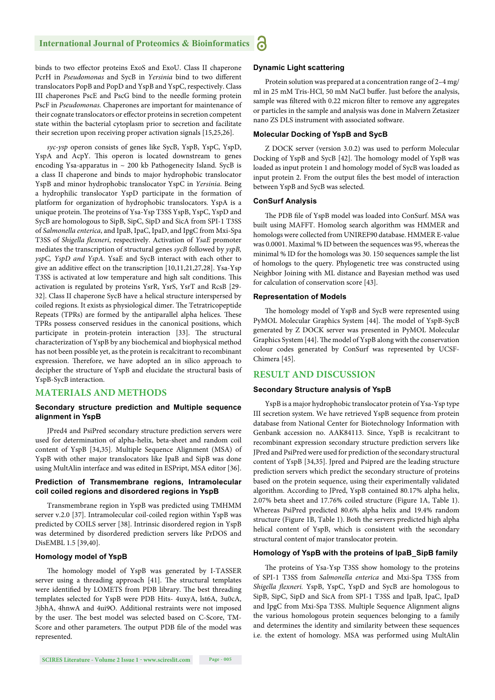#### **International Journal of Proteomics & Bioinformatics** Ы

binds to two effector proteins ExoS and ExoU. Class II chaperone PcrH in Pseudomonas and SycB in Yersinia bind to two different translocators PopB and PopD and YspB and YspC, respectively. Class III chaperones PscE and PscG bind to the needle forming protein PscF in *Pseudomonas.* Chaperones are important for maintenance of their cognate translocators or effector proteins in secretion competent state within the bacterial cytoplasm prior to secretion and facilitate their secretion upon receiving proper activation signals [15,25,26].

*syc-ysp* operon consists of genes like SycB, YspB, YspC, YspD, YspA and AcpY. This operon is located downstream to genes encoding Ysa-apparatus in  $\sim 200$  kb Pathogenecity Island. SycB is a class II chaperone and binds to major hydrophobic translocator YspB and minor hydrophobic translocator YspC in *Yersinia*. Being a hydrophilic translocator YspD participate in the formation of platform for organization of hydrophobic translocators. YspA is a unique protein. The proteins of Ysa-Ysp T3SS YspB, YspC, YspD and SycB are homologous to SipB, SipC, SipD and SicA from SPI-1 T3SS of *Salmonella enterica*, and IpaB, IpaC, IpaD, and IpgC from Mxi-Spa T3SS of *Shigella flexneri*, respectively. Activation of *YsaE* promoter mediates the transcription of structural genes *sycB* followed by *yspB, yspC, YspD and YspA*. YsaE and SycB interact with each other to give an additive effect on the transcription [10,11,21,27,28]. Ysa-Ysp T3SS is activated at low temperature and high salt conditions. This activation is regulated by proteins YsrR, YsrS, YsrT and RcsB [29- 32]. Class II chaperone SycB have a helical structure interspersed by coiled regions. It exists as physiological dimer. The Tetratricopeptide Repeats (TPRs) are formed by the antiparallel alpha helices. These TPRs possess conserved residues in the canonical positions, which participate in protein-protein interaction [33]. The structural characterization of YspB by any biochemical and biophysical method has not been possible yet, as the protein is recalcitrant to recombinant expression. Therefore, we have adopted an in silico approach to decipher the structure of YspB and elucidate the structural basis of YspB-SycB interaction.

#### **MATERIALS AND METHODS**

#### **Secondary structure prediction and Multiple sequence alignment in YspB**

JPred4 and PsiPred secondary structure prediction servers were used for determination of alpha-helix, beta-sheet and random coil content of YspB [34,35]. Multiple Sequence Alignment (MSA) of YspB with other major translocators like IpaB and SipB was done using MultAlin interface and was edited in ESPript, MSA editor [36].

#### **Prediction of Transmembrane regions, Intramolecular coil coiled regions and disordered regions in YspB**

Transmembrane region in YspB was predicted using TMHMM server v.2.0 [37]. Intramolecular coil-coiled region within YspB was predicted by COILS server [38]. Intrinsic disordered region in YspB was determined by disordered prediction servers like PrDOS and DisEMBL 1.5 [39,40].

#### **Homology model of YspB**

The homology model of YspB was generated by I-TASSER server using a threading approach [41]. The structural templates were identified by LOMETS from PDB library. The best threading templates selected for YspB were PDB Hits- 4uxyA, lst6A, 3u0cA, 3jbhA, 4hnwA and 4ui9O. Additional restraints were not imposed by the user. The best model was selected based on C-Score, TM-Score and other parameters. The output PDB file of the model was represented.

#### **Dynamic Light scattering**

Protein solution was prepared at a concentration range of 2–4 mg/ ml in 25 mM Tris-HCl, 50 mM NaCl buffer. Just before the analysis, sample was filtered with 0.22 micron filter to remove any aggregates or particles in the sample and analysis was done in Malvern Zetasizer nano ZS DLS instrument with associated software.

#### **Molecular Docking of YspB and SycB**

Z DOCK server (version 3.0.2) was used to perform Molecular Docking of YspB and SycB [42]. The homology model of YspB was loaded as input protein 1 and homology model of SycB was loaded as input protein 2. From the output files the best model of interaction between YspB and SycB was selected.

#### **ConSurf Analysis**

The PDB file of YspB model was loaded into ConSurf. MSA was built using MAFFT. Homolog search algorithm was HMMER and homologs were collected from UNIREF90 database. HMMER E-value was 0.0001. Maximal % ID between the sequences was 95, whereas the minimal % ID for the homologs was 30. 150 sequences sample the list of homologs to the query. Phylogenetic tree was constructed using Neighbor Joining with ML distance and Bayesian method was used for calculation of conservation score [43].

#### **Representation of Models**

The homology model of YspB and SycB were represented using PyMOL Molecular Graphics System [44]. The model of YspB-SycB generated by Z DOCK server was presented in PyMOL Molecular Graphics System [44]. The model of YspB along with the conservation colour codes generated by ConSurf was represented by UCSF-Chimera [45].

#### **RESULT AND DISCUSSION**

#### **Secondary Structure analysis of YspB**

YspB is a major hydrophobic translocator protein of Ysa-Ysp type III secretion system. We have retrieved YspB sequence from protein database from National Center for Biotechnology Information with Genbank accession no. AAK84113. Since, YspB is recalcitrant to recombinant expression secondary structure prediction servers like JPred and PsiPred were used for prediction of the secondary structural content of YspB [34,35]. Jpred and Psipred are the leading structure prediction servers which predict the secondary structure of proteins based on the protein sequence, using their experimentally validated algorithm. According to JPred, YspB contained 80.17% alpha helix, 2.07% beta sheet and 17.76% coiled structure (Figure 1A, Table 1). Whereas PsiPred predicted 80.6% alpha helix and 19.4% random structure (Figure 1B, Table 1). Both the servers predicted high alpha helical content of YspB, which is consistent with the secondary structural content of major translocator protein.

#### **Homology of YspB with the proteins of IpaB\_SipB family**

The proteins of Ysa-Ysp T3SS show homology to the proteins of SPI-1 T3SS from *Salmonella enterica* and Mxi-Spa T3SS from Shigella flexneri. YspB, YspC, YspD and SycB are homologous to SipB, SipC, SipD and SicA from SPI-1 T3SS and IpaB, IpaC, IpaD and IpgC from Mxi-Spa T3SS. Multiple Sequence Alignment aligns the various homologous protein sequences belonging to a family and determines the identity and similarity between these sequences i.e. the extent of homology. MSA was performed using MultAlin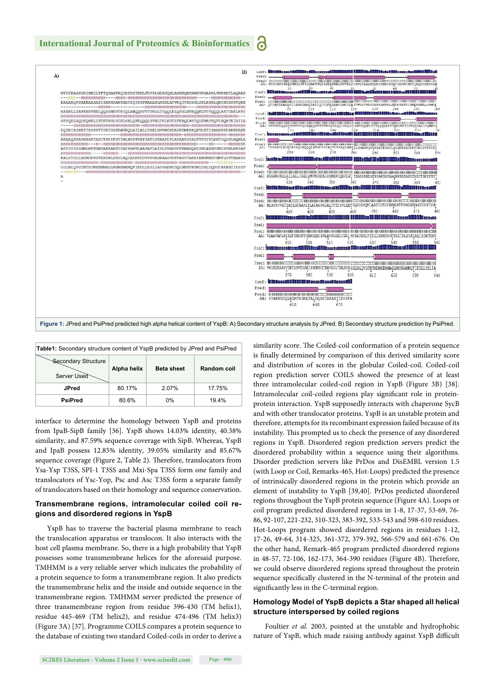

| <b>Table1:</b> Secondary structure content of YspB predicted by JPred and PsiPred |             |                   |             |  |
|-----------------------------------------------------------------------------------|-------------|-------------------|-------------|--|
| Secondary Structure<br>Server Used                                                | Alpha helix | <b>Beta sheet</b> | Random coil |  |
| <b>JPred</b>                                                                      | 80.17%      | 2.07%             | 17.75%      |  |
| <b>PsiPred</b>                                                                    | 80.6%       | 0%                | 19.4%       |  |

interface to determine the homology between YspB and proteins from IpaB-SipB family [36]. YspB shows 14.03% identity, 40.38% similarity, and 87.59% sequence coverage with SipB. Whereas, YspB and IpaB possess 12.85% identity, 39.05% similarity and 85.67% sequence coverage (Figure 2, Table 2). Therefore, translocators from Ysa-Ysp T3SS, SPI-1 T3SS and Mxi-Spa T3SS form one family and translocators of Ysc-Yop, Psc and Asc T3SS form a separate family of translocators based on their homology and sequence conservation.

#### **Transmembrane regions, intramolecular coiled coil regions and disordered regions in YspB**

YspB has to traverse the bacterial plasma membrane to reach the translocation apparatus or translocon. It also interacts with the host cell plasma membrane. So, there is a high probability that YspB possesses some transmembrane helices for the aforesaid purpose. TMHMM is a very reliable server which indicates the probability of a protein sequence to form a transmembrane region. It also predicts the transmembrane helix and the inside and outside sequence in the transmembrane region. TMHMM server predicted the presence of three transmembrane region from residue 396-430 (TM helix1), residue 445-469 (TM helix2), and residue 474-496 (TM helix3) (Figure 3A) [37]. Programme COILS compares a protein sequence to the database of existing two standard Coiled-coils in order to derive a

similarity score. The Coiled-coil conformation of a protein sequence is finally determined by comparison of this derived similarity score and distribution of scores in the globular Coiled-coil. Coiled-coil region prediction server COILS showed the presence of at least three intramolecular coiled-coil region in YspB (Figure 3B) [38]. Intramolecular coil-coiled regions play significant role in proteinprotein interaction. YspB supposedly interacts with chaperone SycB and with other translocator proteins. YspB is an unstable protein and therefore, attempts for its recombinant expression failed because of its instability. This prompted us to check the presence of any disordered regions in YspB. Disordered region prediction servers predict the disordered probability within a sequence using their algorithms. Disorder prediction servers like PrDos and DisEMBL version 1.5 (with Loop or Coil, Remarks-465, Hot-Loops) predicted the presence of intrinsically disordered regions in the protein which provide an element of instability to YspB [39,40]. PrDos predicted disordered regions throughout the YspB protein sequence (Figure 4A). Loops or coil program predicted disordered regions in 1-8, 17-37, 53-69, 76- 86, 92-107, 221-232, 310-323, 383-392, 533-543 and 598-610 residues. Hot-Loops program showed disordered regions in residues 1-12, 17-26, 49-64, 314-325, 361-372, 379-392, 566-579 and 661-676. On the other hand, Remark-465 program predicted disordered regions in 48-57, 72-106, 162-173, 364-390 residues (Figure 4B). Therefore, we could observe disordered regions spread throughout the protein sequence specifically clustered in the N-terminal of the protein and significantly less in the C-terminal region.

#### **Homology Model of YspB depicts a Star shaped all helical structure interspersed by coiled regions**

Foultier *et al.* 2003, pointed at the unstable and hydrophobic nature of YspB, which made raising antibody against YspB difficult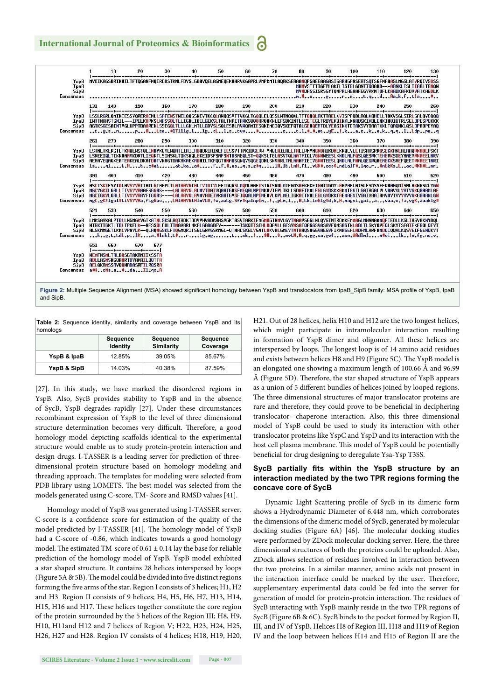

Table 2: Sequence identity, similarity and coverage between YspB and its

| homologs    |                             |                               |                             |  |
|-------------|-----------------------------|-------------------------------|-----------------------------|--|
|             | <b>Sequence</b><br>Identity | <b>Sequence</b><br>Similarity | <b>Sequence</b><br>Coverage |  |
| YspB & IpaB | 12.85%                      | 39.05%                        | 85.67%                      |  |
| YspB & SipB | 14.03%                      | 40.38%                        | 87.59%                      |  |

[27]. In this study, we have marked the disordered regions in YspB. Also, SycB provides stability to YspB and in the absence of SycB, YspB degrades rapidly [27]. Under these circumstances recombinant expression of YspB to the level of three dimensional structure determination becomes very difficult. Therefore, a good homology model depicting scaffolds identical to the experimental structure would enable us to study protein-protein interaction and design drugs. I-TASSER is a leading server for prediction of threedimensional protein structure based on homology modeling and threading approach. The templates for modeling were selected from PDB library using LOMETS. The best model was selected from the models generated using C-score, TM- Score and RMSD values [41].

Homology model of YspB was generated using I-TASSER server. C-score is a confidence score for estimation of the quality of the model predicted by I-TASSER [41]. The homology model of YspB had a C-score of -0.86, which indicates towards a good homology model. The estimated TM-score of  $0.61 \pm 0.14$  lay the base for reliable prediction of the homology model of YspB. YspB model exhibited a star shaped structure. It contains 28 helices interspersed by loops (Figure 5A  $\&$  5B). The model could be divided into five distinct regions forming the five arms of the star. Region I consists of 3 helices; H1, H2 and H3. Region II consists of 9 helices; H4, H5, H6, H7, H13, H14, H15, H16 and H17. These helices together constitute the core region of the protein surrounded by the 5 helices of the Region III; H8, H9, H10, H11and H12 and 7 helices of Region V; H22, H23, H24, H25, H26, H27 and H28. Region IV consists of 4 helices; H18, H19, H20, H21. Out of 28 helices, helix H10 and H12 are the two longest helices, which might participate in intramolecular interaction resulting in formation of YspB dimer and oligomer. All these helices are interspersed by loops. The longest loop is of 14 amino acid residues and exists between helices H8 and H9 (Figure 5C). The YspB model is an elongated one showing a maximum length of 100.66 Å and 96.99 Å (Figure 5D). Therefore, the star shaped structure of  $YspB$  appears as a union of 5 different bundles of helices joined by looped regions. The three dimensional structures of major translocator proteins are rare and therefore, they could prove to be beneficial in deciphering translocator- chaperone interaction. Also, this three dimensional model of YspB could be used to study its interaction with other translocator proteins like YspC and YspD and its interaction with the host cell plasma membrane. This model of YspB could be potentially beneficial for drug designing to deregulate Ysa-Ysp T3SS.

#### SycB partially fits within the YspB structure by an **interaction mediated by the two TPR regions forming the concave core of SycB**

Dynamic Light Scattering profile of SycB in its dimeric form shows a Hydrodynamic Diameter of 6.448 nm, which corroborates the dimensions of the dimeric model of SycB, generated by molecular docking studies (Figure 6A) [46]. The molecular docking studies were performed by ZDock molecular docking server. Here, the three dimensional structures of both the proteins could be uploaded. Also, ZDock allows selection of residues involved in interaction between the two proteins. In a similar manner, amino acids not present in the interaction interface could be marked by the user. Therefore, supplementary experimental data could be fed into the server for generation of model for protein-protein interaction. The residues of SycB interacting with YspB mainly reside in the two TPR regions of SycB (Figure 6B & 6C). SycB binds to the pocket formed by Region II, III, and IV of YspB. Helices H8 of Region III, H18 and H19 of Region IV and the loop between helices H14 and H15 of Region II are the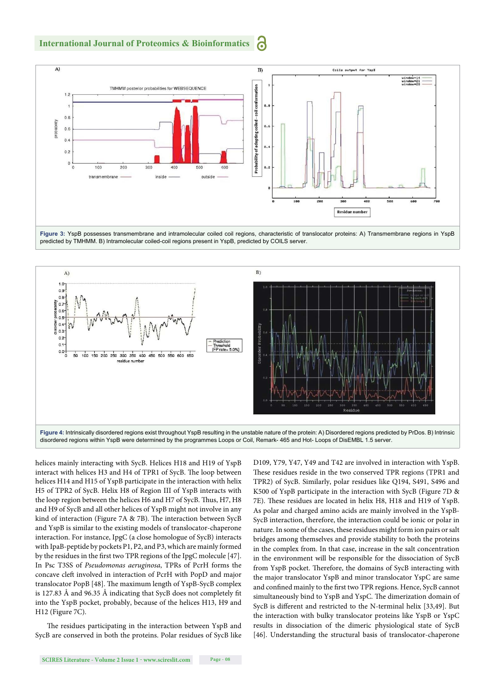





helices mainly interacting with SycB. Helices H18 and H19 of YspB interact with helices H3 and H4 of TPR1 of SycB. The loop between helices H14 and H15 of YspB participate in the interaction with helix H5 of TPR2 of SycB. Helix H8 of Region III of YspB interacts with the loop region between the helices H6 and H7 of SycB. Thus, H7, H8 and H9 of SycB and all other helices of YspB might not involve in any kind of interaction (Figure 7A & 7B). The interaction between SycB and YspB is similar to the existing models of translocator-chaperone interaction. For instance, IpgC (a close homologue of SycB) interacts with IpaB-peptide by pockets P1, P2, and P3, which are mainly formed by the residues in the first two TPR regions of the IpgC molecule [47]. In Psc T3SS of *Pseudomonas aeruginosa*, TPRs of PcrH forms the concave cleft involved in interaction of PcrH with PopD and major translocator PopB [48]. The maximum length of YspB-SycB complex is 127.83 Å and 96.35 Å indicating that SycB does not completely fit into the YspB pocket, probably, because of the helices H13, H9 and H12 (Figure 7C).

The residues participating in the interaction between YspB and SycB are conserved in both the proteins. Polar residues of SycB like D109, Y79, Y47, Y49 and T42 are involved in interaction with YspB. These residues reside in the two conserved TPR regions (TPR1 and TPR2) of SycB. Similarly, polar residues like Q194, S491, S496 and K500 of YspB participate in the interaction with SycB (Figure 7D & 7E). These residues are located in helix H8, H18 and H19 of YspB. As polar and charged amino acids are mainly involved in the YspB-SycB interaction, therefore, the interaction could be ionic or polar in nature. In some of the cases, these residues might form ion pairs or salt bridges among themselves and provide stability to both the proteins in the complex from. In that case, increase in the salt concentration in the environment will be responsible for the dissociation of SycB from YspB pocket. Therefore, the domains of SycB interacting with the major translocator YspB and minor translocator YspC are same and confined mainly to the first two TPR regions. Hence, SycB cannot simultaneously bind to YspB and YspC. The dimerization domain of SycB is different and restricted to the N-terminal helix [33,49]. But the interaction with bulky translocator proteins like YspB or YspC results in dissociation of the dimeric physiological state of SycB [46]. Understanding the structural basis of translocator-chaperone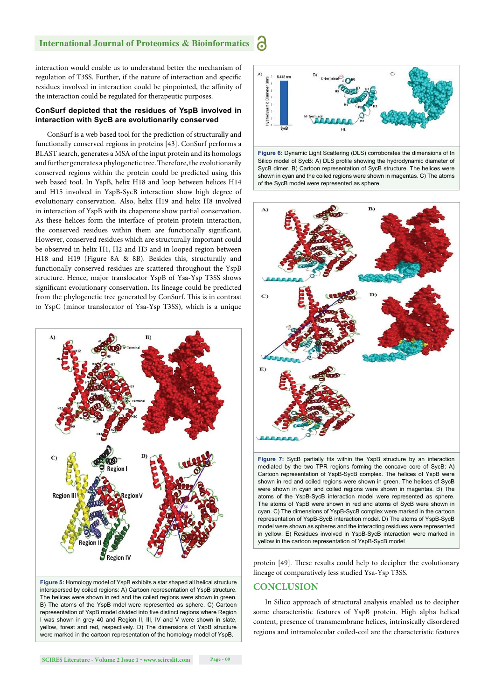#### **International Journal of Proteomics & Bioinformatics**

interaction would enable us to understand better the mechanism of regulation of T3SS. Further, if the nature of interaction and specific residues involved in interaction could be pinpointed, the affinity of the interaction could be regulated for therapeutic purposes.

#### **ConSurf depicted that the residues of YspB involved in interaction with SycB are evolutionarily conserved**

ConSurf is a web based tool for the prediction of structurally and functionally conserved regions in proteins [43]. ConSurf performs a BLAST search, generates a MSA of the input protein and its homologs and further generates a phylogenetic tree. Therefore, the evolutionarily conserved regions within the protein could be predicted using this web based tool. In YspB, helix H18 and loop between helices H14 and H15 involved in YspB-SycB interaction show high degree of evolutionary conservation. Also, helix H19 and helix H8 involved in interaction of YspB with its chaperone show partial conservation. As these helices form the interface of protein-protein interaction, the conserved residues within them are functionally significant. However, conserved residues which are structurally important could be observed in helix H1, H2 and H3 and in looped region between H18 and H19 (Figure 8A & 8B). Besides this, structurally and functionally conserved residues are scattered throughout the YspB structure. Hence, major translocator YspB of Ysa-Ysp T3SS shows significant evolutionary conservation. Its lineage could be predicted from the phylogenetic tree generated by ConSurf. This is in contrast to YspC (minor translocator of Ysa-Ysp T3SS), which is a unique



**Figure 5:** Homology model of YspB exhibits a star shaped all helical structure interspersed by coiled regions: A) Cartoon representation of YspB structure. The helices were shown in red and the coiled regions were shown in green. B) The atoms of the YspB mdel were represented as sphere. C) Cartoon representation of YspB model divided into five distinct regions where Region I was shown in grey 40 and Region II, III, IV and V were shown in slate, yellow, forest and red, respectively. D) The dimensions of YspB structure were marked in the cartoon representation of the homology model of YspB.



Silico model of SycB: A) DLS profile showing the hydrodynamic diameter of SycB dimer. B) Cartoon representation of SycB structure. The helices were shown in cyan and the coiled regions were shown in magentas. C) The atoms of the SycB model were represented as sphere.



Figure 7: SycB partially fits within the YspB structure by an interaction mediated by the two TPR regions forming the concave core of SycB: A) Cartoon representation of YspB-SycB complex. The helices of YspB were shown in red and coiled regions were shown in green. The helices of SycB were shown in cyan and coiled regions were shown in magentas. B) The atoms of the YspB-SycB interaction model were represented as sphere. The atoms of YspB were shown in red and atoms of SycB were shown in cyan. C) The dimensions of YspB-SycB complex were marked in the cartoon representation of YspB-SycB interaction model. D) The atoms of YspB-SycB model were shown as spheres and the interacting residues were represented in yellow. E) Residues involved in YspB-SycB interaction were marked in yellow in the cartoon representation of YspB-SycB model

protein [49]. These results could help to decipher the evolutionary lineage of comparatively less studied Ysa-Ysp T3SS.

#### **CONCLUSION**

In Silico approach of structural analysis enabled us to decipher some characteristic features of YspB protein. High alpha helical content, presence of transmembrane helices, intrinsically disordered regions and intramolecular coiled-coil are the characteristic features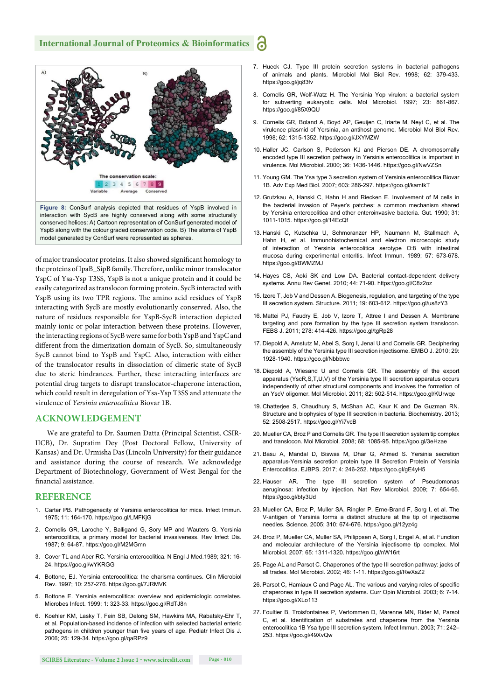#### **International Journal of Proteomics & Bioinformatics**



of major translocator proteins. It also showed significant homology to the proteins of IpaB\_SipB family. Therefore, unlike minor translocator YspC of Ysa-Ysp T3SS, YspB is not a unique protein and it could be easily categorized as translocon forming protein. SycB interacted with YspB using its two TPR regions. The amino acid residues of YspB interacting with SycB are mostly evolutionarily conserved. Also, the nature of residues responsible for YspB-SycB interaction depicted mainly ionic or polar interaction between these proteins. However, the interacting regions of SycB were same for both YspB and YspC and different from the dimerization domain of SycB. So, simultaneously SycB cannot bind to YspB and YspC. Also, interaction with either of the translocator results in dissociation of dimeric state of SycB due to steric hindrances. Further, these interacting interfaces are potential drug targets to disrupt translocator-chaperone interaction, which could result in deregulation of Ysa-Ysp T3SS and attenuate the virulence of *Yersinia enterocolitica* Biovar 1B.

#### **ACKNOWLEDGEMENT**

We are grateful to Dr. Saumen Datta (Principal Scientist, CSIR-IICB), Dr. Supratim Dey (Post Doctoral Fellow, University of Kansas) and Dr. Urmisha Das (Lincoln University) for their guidance and assistance during the course of research. We acknowledge Department of Biotechnology, Government of West Bengal for the financial assistance.

#### **REFERENCE**

- 1. Carter PB. Pathogenecity of Yersinia enterocolitica for mice. Infect Immun. 1975; 11: 164-170. https://goo.gl/LMFKjG
- 2. Cornelis GR, Laroche Y, Balligand G, Sory MP and Wauters G. Yersinia enterocolitica, a primary model for bacterial invasiveness. Rev Infect Dis. 1987; 9: 64-87. https://goo.gl/M2MGmn
- 3. Cover TL and Aber RC. Yersinia enterocolitica. N Engl J Med.1989; 321: 16- 24. https://goo.gl/wYKRGG
- 4. Bottone, EJ. Yersinia enterocolitica: the charisma continues. Clin Microbiol Rev. 1997; 10: 257-276. https://goo.gl/7JRMVK
- 5. Bottone E. Yersinia enterocolitica: overview and epidemiologic correlates. Microbes Infect. 1999; 1: 323-33. https://goo.gl/RdTJ8n
- 6. Koehler KM, Lasky T, Fein SB, Delong SM, Hawkins MA, Rabatsky-Ehr T, et al. Population-based incidence of infection with selected bacterial enteric pathogens in children younger than five years of age. Pediatr Infect Dis J. 2006; 25: 129-34. https://goo.gl/qaRPz9
- 7. Hueck CJ. Type III protein secretion systems in bacterial pathogens of animals and plants. Microbiol Mol Biol Rev. 1998; 62: 379-433. https://goo.gl/jq83fv
- 8. Cornelis GR, Wolf-Watz H. The Yersinia Yop virulon: a bacterial system for subverting eukaryotic cells. Mol Microbiol. 1997; 23: 861-867. https://goo.gl/85X9QU
- 9. Cornelis GR, Boland A, Boyd AP, Geuijen C, Iriarte M, Neyt C, et al. The virulence plasmid of Yersinia, an antihost genome*.* Microbiol Mol Biol Rev*.* 1998; 62: 1315-1352. https://goo.gl/JXYMZW
- 10. Haller JC, Carlson S, Pederson KJ and Pierson DE. A chromosomally encoded type III secretion pathway in Yersinia enterocolitica is important in virulence. Mol Microbiol. 2000; 36: 1436-1446. https://goo.gl/NwVZSn
- 11. Young GM. The Ysa type 3 secretion system of Yersinia enterocolitica Biovar 1B. Adv Exp Med Biol. 2007; 603: 286-297. https://goo.gl/kamtkT
- 12. Grutzkau A, Hanski C, Hahn H and Riecken E. Involvement of M cells in the bacterial invasion of Peyer's patches: a common mechanism shared by Yersinia enterocolitica and other enteroinvasive bacteria. Gut. 1990; 31: 1011-1015. https://goo.gl/14EcQf
- 13. Hanski C, Kutschka U, Schmoranzer HP, Naumann M, Stallmach A, Hahn H, et al. Immunohistochemical and electron microscopic study of interaction of Yersinia enterocolitica serotype O:8 with intestinal mucosa during experimental enteritis. Infect Immun. 1989; 57: 673-678. https://goo.gl/BWMZMJ
- 14. Hayes CS, Aoki SK and Low DA. Bacterial contact-dependent delivery systems. Annu Rev Genet. 2010; 44: 71-90. https://goo.gl/C8z2oz
- 15. Izore T, Job V and Dessen A. Biogenesis, regulation, and targeting of the type III secretion system. Structure. 2011; 19: 603-612. https://goo.gl/us8zY3
- 16. Mattei PJ, Faudry E, Job V, Izore T, Attree I and Dessen A. Membrane targeting and pore formation by the type III secretion system translocon. FEBS J. 2011; 278: 414-426. https://goo.gl/tgRp28
- 17. Diepold A, Amstutz M, Abel S, Sorg I, Jenal U and Cornelis GR. Deciphering the assembly of the Yersinia type III secretion injectisome. EMBO J. 2010; 29: 1928-1940. https://goo.gl/Nbbbwc
- 18. Diepold A, Wiesand U and Cornelis GR. The assembly of the export apparatus (YscR,S,T,U,V) of the Yersinia type III secretion apparatus occurs independently of other structural components and involves the formation of an YscV oligomer. Mol Microbiol. 2011; 82: 502-514. https://goo.gl/KUrwqe
- 19. Chatterjee S, Chaudhury S, McShan AC, Kaur K and De Guzman RN. Structure and biophysics of type III secretion in bacteria. Biochemistry. 2013; 52: 2508-2517. https://goo.gl/Yi7vcB
- 20. Mueller CA, Broz P and Cornelis GR. The type III secretion system tip complex and translocon. Mol Microbiol. 2008; 68: 1085-95. https://goo.gl/3eHzae
- 21. Basu A, Mandal D, Biswas M, Dhar G, Ahmed S. Yersinia secretion apparatus-Yersinia secretion protein type III Secretion Protein of Yersinia Enterocolitica. EJBPS. 2017; 4: 246-252. https://goo.gl/gE4yH5
- 22. Hauser AR. The type III secretion system of Pseudomonas aeruginosa: infection by injection. Nat Rev Microbiol. 2009; 7: 654-65. https://goo.gl/bty3Ud
- 23. Mueller CA, Broz P, Muller SA, Ringler P, Erne-Brand F, Sorg I, et al. The V-antigen of Yersinia forms a distinct structure at the tip of injectisome needles. Science. 2005; 310: 674-676. https://goo.gl/12yz4g
- 24. Broz P, Mueller CA, Muller SA, Philippsen A, Sorg I, Engel A, et al. Function and molecular architecture of the Yersinia injectisome tip complex. Mol Microbiol. 2007; 65: 1311-1320. https://goo.gl/nW16rt
- 25. Page AL and Parsot C. Chaperones of the type III secretion pathway: jacks of all trades. Mol Microbiol. 2002; 46: 1-11. https://goo.gl/RwXsZ2
- 26. Parsot C, Hamiaux C and Page AL. The various and varying roles of specific chaperones in type III secretion systems. Curr Opin Microbiol. 2003; 6: 7-14. https://goo.gl/XLo113
- 27. Foultier B, Troisfontaines P, Vertommen D, Marenne MN, Rider M, Parsot C, et al. Identification of substrates and chaperone from the Yersinia enterocolitica 1B Ysa type III secretion system. Infect Immun. 2003; 71: 242– 253. https://goo.gl/49XvQw